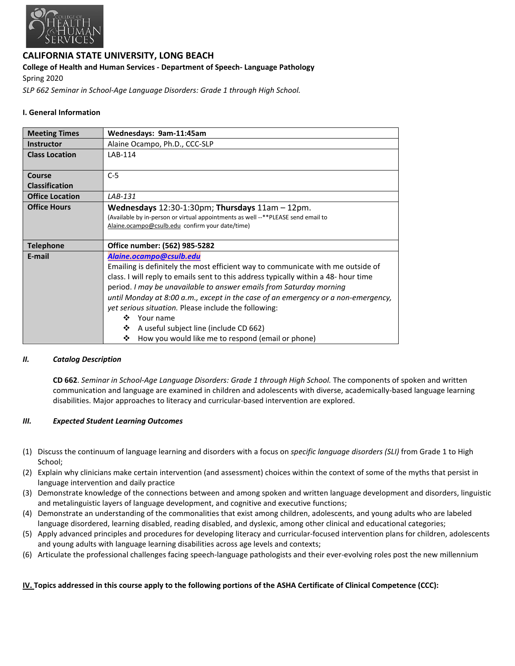

# **CALIFORNIA STATE UNIVERSITY, LONG BEACH**

## **College of Health and Human Services - Department of Speech- Language Pathology** Spring 2020

*SLP 662 Seminar in School-Age Language Disorders: Grade 1 through High School.*

#### **I. General Information**

| <b>Meeting Times</b>                                   | Wednesdays: 9am-11:45am                                                             |  |  |  |  |
|--------------------------------------------------------|-------------------------------------------------------------------------------------|--|--|--|--|
| <b>Instructor</b>                                      | Alaine Ocampo, Ph.D., CCC-SLP                                                       |  |  |  |  |
| <b>Class Location</b>                                  | LAB-114                                                                             |  |  |  |  |
| Course                                                 | $C-5$                                                                               |  |  |  |  |
| <b>Classification</b>                                  |                                                                                     |  |  |  |  |
| <b>Office Location</b>                                 | $LAB-131$                                                                           |  |  |  |  |
| <b>Office Hours</b>                                    | Wednesdays 12:30-1:30pm; Thursdays 11am - 12pm.                                     |  |  |  |  |
|                                                        | (Available by in-person or virtual appointments as well --**PLEASE send email to    |  |  |  |  |
|                                                        | Alaine.ocampo@csulb.edu confirm your date/time)                                     |  |  |  |  |
|                                                        |                                                                                     |  |  |  |  |
| <b>Telephone</b>                                       | Office number: (562) 985-5282                                                       |  |  |  |  |
| E-mail<br>Alaine.ocampo@csulb.edu                      |                                                                                     |  |  |  |  |
|                                                        | Emailing is definitely the most efficient way to communicate with me outside of     |  |  |  |  |
|                                                        | class. I will reply to emails sent to this address typically within a 48- hour time |  |  |  |  |
|                                                        | period. I may be unavailable to answer emails from Saturday morning                 |  |  |  |  |
|                                                        | until Monday at 8:00 a.m., except in the case of an emergency or a non-emergency,   |  |  |  |  |
|                                                        | yet serious situation. Please include the following:                                |  |  |  |  |
|                                                        | Your name<br>❖                                                                      |  |  |  |  |
|                                                        | A useful subject line (include CD 662)<br>❖                                         |  |  |  |  |
| ❖<br>How you would like me to respond (email or phone) |                                                                                     |  |  |  |  |

#### *II. Catalog Description*

**CD 662**. *Seminar in School-Age Language Disorders: Grade 1 through High School.* The components of spoken and written communication and language are examined in children and adolescents with diverse, academically-based language learning disabilities. Major approaches to literacy and curricular-based intervention are explored.

### *III. Expected Student Learning Outcomes*

- (1) Discuss the continuum of language learning and disorders with a focus on *specific language disorders (SLI)* from Grade 1 to High School;
- (2) Explain why clinicians make certain intervention (and assessment) choices within the context of some of the myths that persist in language intervention and daily practice
- (3) Demonstrate knowledge of the connections between and among spoken and written language development and disorders, linguistic and metalinguistic layers of language development, and cognitive and executive functions;
- (4) Demonstrate an understanding of the commonalities that exist among children, adolescents, and young adults who are labeled language disordered, learning disabled, reading disabled, and dyslexic, among other clinical and educational categories;
- (5) Apply advanced principles and procedures for developing literacy and curricular-focused intervention plans for children, adolescents and young adults with language learning disabilities across age levels and contexts;
- (6) Articulate the professional challenges facing speech-language pathologists and their ever-evolving roles post the new millennium

### **IV. Topics addressed in this course apply to the following portions of the ASHA Certificate of Clinical Competence (CCC):**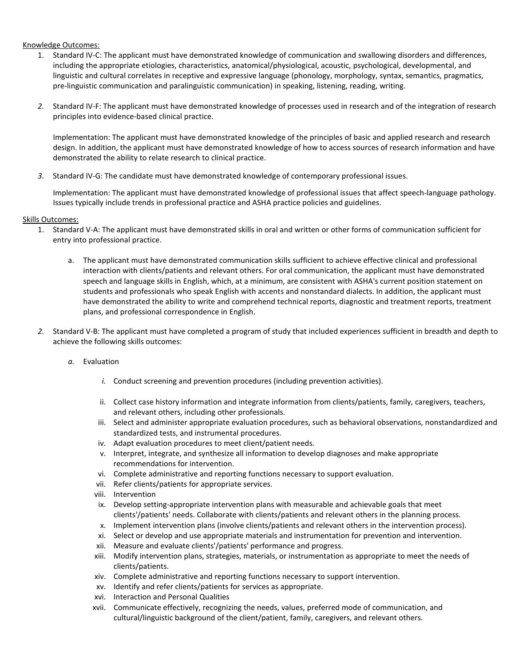#### Knowledge Outcomes:

- 1. Standard IV-C: The applicant must have demonstrated knowledge of communication and swallowing disorders and differences, including the appropriate etiologies, characteristics, anatomical/physiological, acoustic, psychological, developmental, and linguistic and cultural correlates in receptive and expressive language (phonology, morphology, syntax, semantics, pragmatics, pre-linguistic communication and paralinguistic communication) in speaking, listening, reading, writing.
- *2.* Standard IV-F: The applicant must have demonstrated knowledge of processes used in research and of the integration of research principles into evidence-based clinical practice.

Implementation: The applicant must have demonstrated knowledge of the principles of basic and applied research and research design. In addition, the applicant must have demonstrated knowledge of how to access sources of research information and have demonstrated the ability to relate research to clinical practice.

*3.* Standard IV-G: The candidate must have demonstrated knowledge of contemporary professional issues.

Implementation: The applicant must have demonstrated knowledge of professional issues that affect speech-language pathology. Issues typically include trends in professional practice and ASHA practice policies and guidelines.

#### Skills Outcomes:

- 1. Standard V-A: The applicant must have demonstrated skills in oral and written or other forms of communication sufficient for entry into professional practice.
	- a. The applicant must have demonstrated communication skills sufficient to achieve effective clinical and professional interaction with clients/patients and relevant others. For oral communication, the applicant must have demonstrated speech and language skills in English, which, at a minimum, are consistent with ASHA's current position statement on students and professionals who speak English with accents and nonstandard dialects. In addition, the applicant must have demonstrated the ability to write and comprehend technical reports, diagnostic and treatment reports, treatment plans, and professional correspondence in English.
- *2.* Standard V-B: The applicant must have completed a program of study that included experiences sufficient in breadth and depth to achieve the following skills outcomes:
	- *a.* Evaluation
		- *i.* Conduct screening and prevention procedures (including prevention activities).
		- ii. Collect case history information and integrate information from clients/patients, family, caregivers, teachers, and relevant others, including other professionals.
		- iii. Select and administer appropriate evaluation procedures, such as behavioral observations, nonstandardized and standardized tests, and instrumental procedures.
		- iv. Adapt evaluation procedures to meet client/patient needs.
		- v. Interpret, integrate, and synthesize all information to develop diagnoses and make appropriate recommendations for intervention.
		- vi. Complete administrative and reporting functions necessary to support evaluation.
		- vii. Refer clients/patients for appropriate services.
		- viii. Intervention
		- ix. Develop setting-appropriate intervention plans with measurable and achievable goals that meet clients'/patients' needs. Collaborate with clients/patients and relevant others in the planning process.
		- x. Implement intervention plans (involve clients/patients and relevant others in the intervention process).
		- xi. Select or develop and use appropriate materials and instrumentation for prevention and intervention.
		- xii. Measure and evaluate clients'/patients' performance and progress.
		- xiii. Modify intervention plans, strategies, materials, or instrumentation as appropriate to meet the needs of clients/patients.
		- xiv. Complete administrative and reporting functions necessary to support intervention.
		- xv. Identify and refer clients/patients for services as appropriate.
		- xvi. Interaction and Personal Qualities
		- xvii. Communicate effectively, recognizing the needs, values, preferred mode of communication, and cultural/linguistic background of the client/patient, family, caregivers, and relevant others.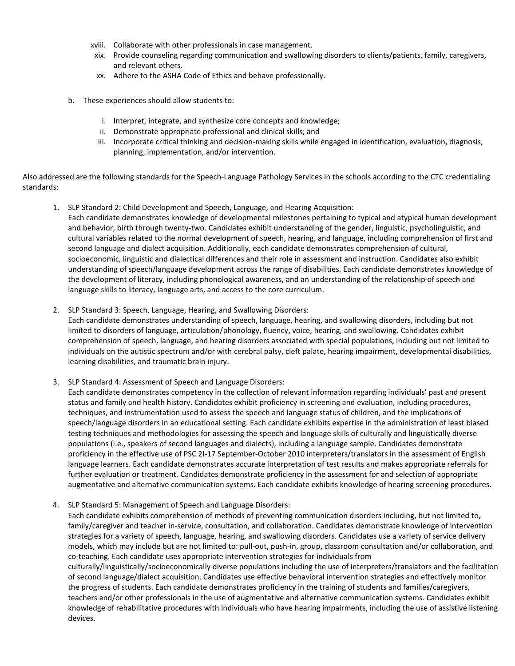- xviii. Collaborate with other professionals in case management.
- xix. Provide counseling regarding communication and swallowing disorders to clients/patients, family, caregivers, and relevant others.
- xx. Adhere to the ASHA Code of Ethics and behave professionally.
- b. These experiences should allow students to:
	- i. Interpret, integrate, and synthesize core concepts and knowledge;
	- ii. Demonstrate appropriate professional and clinical skills; and
	- iii. Incorporate critical thinking and decision-making skills while engaged in identification, evaluation, diagnosis, planning, implementation, and/or intervention.

Also addressed are the following standards for the Speech-Language Pathology Services in the schools according to the CTC credentialing standards:

- 1. SLP Standard 2: Child Development and Speech, Language, and Hearing Acquisition:
	- Each candidate demonstrates knowledge of developmental milestones pertaining to typical and atypical human development and behavior, birth through twenty-two. Candidates exhibit understanding of the gender, linguistic, psycholinguistic, and cultural variables related to the normal development of speech, hearing, and language, including comprehension of first and second language and dialect acquisition. Additionally, each candidate demonstrates comprehension of cultural, socioeconomic, linguistic and dialectical differences and their role in assessment and instruction. Candidates also exhibit understanding of speech/language development across the range of disabilities. Each candidate demonstrates knowledge of the development of literacy, including phonological awareness, and an understanding of the relationship of speech and language skills to literacy, language arts, and access to the core curriculum.
	- 2. SLP Standard 3: Speech, Language, Hearing, and Swallowing Disorders:

Each candidate demonstrates understanding of speech, language, hearing, and swallowing disorders, including but not limited to disorders of language, articulation/phonology, fluency, voice, hearing, and swallowing. Candidates exhibit comprehension of speech, language, and hearing disorders associated with special populations, including but not limited to individuals on the autistic spectrum and/or with cerebral palsy, cleft palate, hearing impairment, developmental disabilities, learning disabilities, and traumatic brain injury.

3. SLP Standard 4: Assessment of Speech and Language Disorders:

Each candidate demonstrates competency in the collection of relevant information regarding individuals' past and present status and family and health history. Candidates exhibit proficiency in screening and evaluation, including procedures, techniques, and instrumentation used to assess the speech and language status of children, and the implications of speech/language disorders in an educational setting. Each candidate exhibits expertise in the administration of least biased testing techniques and methodologies for assessing the speech and language skills of culturally and linguistically diverse populations (i.e., speakers of second languages and dialects), including a language sample. Candidates demonstrate proficiency in the effective use of PSC 2I-17 September-October 2010 interpreters/translators in the assessment of English language learners. Each candidate demonstrates accurate interpretation of test results and makes appropriate referrals for further evaluation or treatment. Candidates demonstrate proficiency in the assessment for and selection of appropriate augmentative and alternative communication systems. Each candidate exhibits knowledge of hearing screening procedures.

4. SLP Standard 5: Management of Speech and Language Disorders:

Each candidate exhibits comprehension of methods of preventing communication disorders including, but not limited to, family/caregiver and teacher in-service, consultation, and collaboration. Candidates demonstrate knowledge of intervention strategies for a variety of speech, language, hearing, and swallowing disorders. Candidates use a variety of service delivery models, which may include but are not limited to: pull-out, push-in, group, classroom consultation and/or collaboration, and co-teaching. Each candidate uses appropriate intervention strategies for individuals from

culturally/linguistically/socioeconomically diverse populations including the use of interpreters/translators and the facilitation of second language/dialect acquisition. Candidates use effective behavioral intervention strategies and effectively monitor the progress of students. Each candidate demonstrates proficiency in the training of students and families/caregivers, teachers and/or other professionals in the use of augmentative and alternative communication systems. Candidates exhibit knowledge of rehabilitative procedures with individuals who have hearing impairments, including the use of assistive listening devices.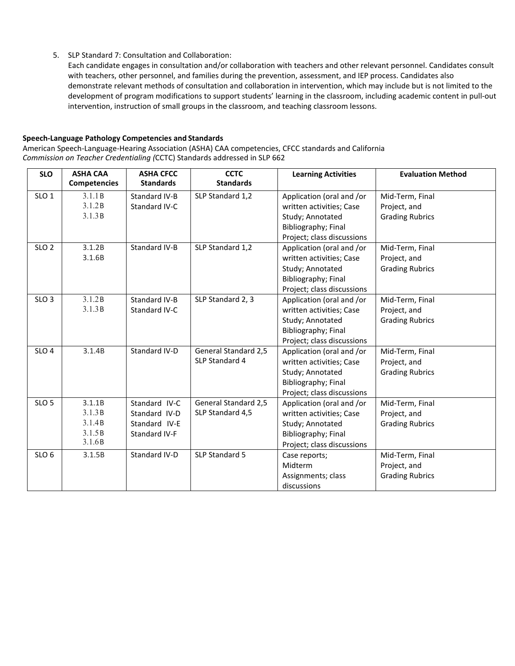## 5. SLP Standard 7: Consultation and Collaboration:

Each candidate engages in consultation and/or collaboration with teachers and other relevant personnel. Candidates consult with teachers, other personnel, and families during the prevention, assessment, and IEP process. Candidates also demonstrate relevant methods of consultation and collaboration in intervention, which may include but is not limited to the development of program modifications to support students' learning in the classroom, including academic content in pull-out intervention, instruction of small groups in the classroom, and teaching classroom lessons.

## **Speech-Language Pathology Competencies and Standards**

American Speech-Language-Hearing Association (ASHA) CAA competencies, CFCC standards and California *Commission on Teacher Credentialing (*CCTC) Standards addressed in SLP 662

| <b>SLO</b>       | <b>ASHA CAA</b><br><b>Competencies</b>         | <b>ASHA CFCC</b><br><b>Standards</b>                             | <b>CCTC</b><br><b>Standards</b>                 | <b>Learning Activities</b>                                                                                                                                   | <b>Evaluation Method</b>                                  |
|------------------|------------------------------------------------|------------------------------------------------------------------|-------------------------------------------------|--------------------------------------------------------------------------------------------------------------------------------------------------------------|-----------------------------------------------------------|
| SLO <sub>1</sub> | 3.1.1B<br>3.1.2B<br>3.1.3B                     | Standard IV-B<br>Standard IV-C                                   | SLP Standard 1,2                                | Application (oral and /or<br>written activities; Case<br>Study; Annotated<br>Bibliography; Final                                                             | Mid-Term, Final<br>Project, and<br><b>Grading Rubrics</b> |
| SLO <sub>2</sub> | 3.1.2B<br>3.1.6B                               | Standard IV-B                                                    | SLP Standard 1,2                                | Project; class discussions<br>Application (oral and /or<br>written activities; Case<br>Study; Annotated<br>Bibliography; Final<br>Project; class discussions | Mid-Term, Final<br>Project, and<br><b>Grading Rubrics</b> |
| SLO <sub>3</sub> | 3.1.2B<br>3.1.3B                               | Standard IV-B<br>Standard IV-C                                   | SLP Standard 2, 3                               | Application (oral and /or<br>written activities; Case<br>Study; Annotated<br>Bibliography; Final<br>Project; class discussions                               | Mid-Term, Final<br>Project, and<br><b>Grading Rubrics</b> |
| SLO <sub>4</sub> | 3.1.4B                                         | Standard IV-D                                                    | <b>General Standard 2,5</b><br>SLP Standard 4   | Application (oral and /or<br>written activities; Case<br>Study; Annotated<br>Bibliography; Final<br>Project; class discussions                               | Mid-Term, Final<br>Project, and<br><b>Grading Rubrics</b> |
| SLO <sub>5</sub> | 3.1.1B<br>3.1.3B<br>3.1.4B<br>3.1.5B<br>3.1.6B | Standard IV-C<br>Standard IV-D<br>Standard IV-E<br>Standard IV-F | <b>General Standard 2,5</b><br>SLP Standard 4,5 | Application (oral and /or<br>written activities; Case<br>Study; Annotated<br>Bibliography; Final<br>Project; class discussions                               | Mid-Term, Final<br>Project, and<br><b>Grading Rubrics</b> |
| SLO <sub>6</sub> | 3.1.5B                                         | Standard IV-D                                                    | SLP Standard 5                                  | Case reports;<br>Midterm<br>Assignments; class<br>discussions                                                                                                | Mid-Term, Final<br>Project, and<br><b>Grading Rubrics</b> |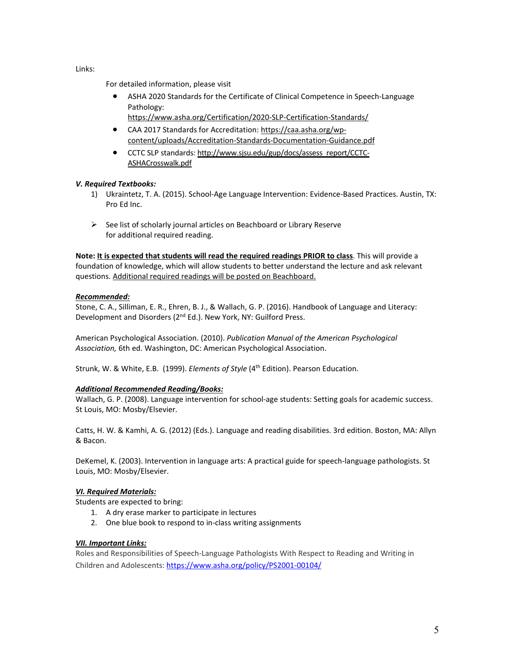#### Links:

For detailed information, please visit

- ASHA 2020 Standards for the Certificate of Clinical Competence in Speech-Language Pathology:
	- <https://www.asha.org/Certification/2020-SLP-Certification-Standards/>
- CAA 2017 Standards for Accreditation: [https://caa.asha.org/wp](https://caa.asha.org/wp-content/uploads/Accreditation-Standards-Documentation-Guidance.pdf)[content/uploads/Accreditation-Standards-Documentation-Guidance.pdf](https://caa.asha.org/wp-content/uploads/Accreditation-Standards-Documentation-Guidance.pdf)
- CCTC SLP standards[: http://www.sjsu.edu/gup/docs/assess\\_report/CCTC-](http://www.sjsu.edu/gup/docs/assess_report/CCTC-ASHACrosswalk.pdf)[ASHACrosswalk.pdf](http://www.sjsu.edu/gup/docs/assess_report/CCTC-ASHACrosswalk.pdf)

## *V. Required Textbooks:*

- 1) Ukraintetz, T. A. (2015). School-Age Language Intervention: Evidence-Based Practices. Austin, TX: Pro Ed Inc.
- $\triangleright$  See list of scholarly journal articles on Beachboard or Library Reserve for additional required reading.

**Note: It is expected that students will read the required readings PRIOR to class**. This will provide a foundation of knowledge, which will allow students to better understand the lecture and ask relevant questions. Additional required readings will be posted on Beachboard.

## *Recommended:*

Stone, C. A., Silliman, E. R., Ehren, B. J., & Wallach, G. P. (2016). Handbook of Language and Literacy: Development and Disorders (2<sup>nd</sup> Ed.). New York, NY: Guilford Press.

American Psychological Association. (2010). *Publication Manual of the American Psychological Association,* 6th ed. Washington, DC: American Psychological Association.

Strunk, W. & White, E.B. (1999). *Elements of Style* (4<sup>th</sup> Edition). Pearson Education.

### *Additional Recommended Reading/Books:*

Wallach, G. P. (2008). Language intervention for school-age students: Setting goals for academic success. St Louis, MO: Mosby/Elsevier.

Catts, H. W. & Kamhi, A. G. (2012) (Eds.). Language and reading disabilities. 3rd edition. Boston, MA: Allyn & Bacon.

DeKemel, K. (2003). Intervention in language arts: A practical guide for speech-language pathologists. St Louis, MO: Mosby/Elsevier.

### *VI. Required Materials:*

Students are expected to bring:

- 1. A dry erase marker to participate in lectures
- 2. One blue book to respond to in-class writing assignments

### *VII. Important Links:*

Roles and Responsibilities of Speech-Language Pathologists With Respect to Reading and Writing in Children and Adolescents:<https://www.asha.org/policy/PS2001-00104/>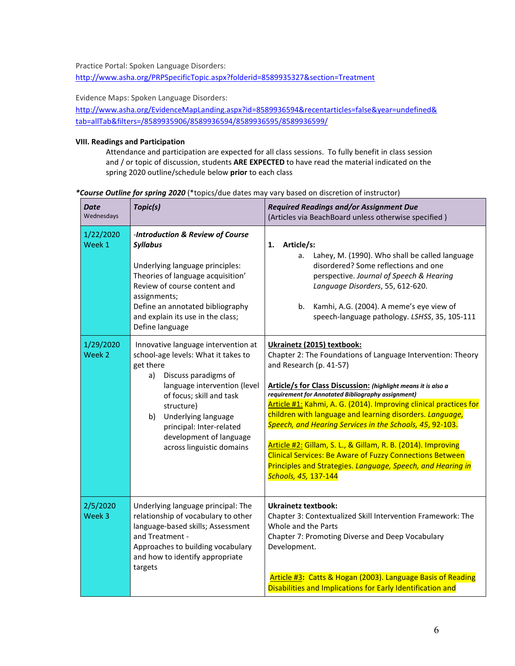Practice Portal: Spoken Language Disorders:

[http://www.asha.org/PRPSpecificTopic.aspx?folderid=8589935327&section=Treatment](http://www.asha.org/PRPSpecificTopic.aspx?folderid=8589935327§ion=Treatment)

Evidence Maps: Spoken Language Disorders:

[http://www.asha.org/EvidenceMapLanding.aspx?id=8589936594&recentarticles=false&year=undefined&](http://www.asha.org/EvidenceMapLanding.aspx?id=8589936594&recentarticles=false&year=undefined&tab=allTab&filters=/8589935906/8589936594/8589936595/8589936599/) [tab=allTab&filters=/8589935906/8589936594/8589936595/8589936599/](http://www.asha.org/EvidenceMapLanding.aspx?id=8589936594&recentarticles=false&year=undefined&tab=allTab&filters=/8589935906/8589936594/8589936595/8589936599/)

### **VIII. Readings and Participation**

Attendance and participation are expected for all class sessions. To fully benefit in class session and / or topic of discussion, students **ARE EXPECTED** to have read the material indicated on the spring 2020 outline/schedule below **prior** to each class

| *Course Outline for spring 2020 (*topics/due dates may vary based on discretion of instructor) |  |
|------------------------------------------------------------------------------------------------|--|
|------------------------------------------------------------------------------------------------|--|

| <b>Date</b><br>Wednesdays | Topic(s)                                                                                                                                                                                                                                                                                                         | <b>Required Readings and/or Assignment Due</b><br>(Articles via BeachBoard unless otherwise specified)                                                                                                                                                                                                                                                                                                                                                                                                                                                                                                                                                             |  |
|---------------------------|------------------------------------------------------------------------------------------------------------------------------------------------------------------------------------------------------------------------------------------------------------------------------------------------------------------|--------------------------------------------------------------------------------------------------------------------------------------------------------------------------------------------------------------------------------------------------------------------------------------------------------------------------------------------------------------------------------------------------------------------------------------------------------------------------------------------------------------------------------------------------------------------------------------------------------------------------------------------------------------------|--|
| 1/22/2020<br>Week 1       | -Introduction & Review of Course<br><b>Syllabus</b><br>Underlying language principles:<br>Theories of language acquisition'<br>Review of course content and<br>assignments;<br>Define an annotated bibliography<br>and explain its use in the class;<br>Define language                                          | Article/s:<br>1.<br>Lahey, M. (1990). Who shall be called language<br>a.<br>disordered? Some reflections and one<br>perspective. Journal of Speech & Hearing<br>Language Disorders, 55, 612-620.<br>Kamhi, A.G. (2004). A meme's eye view of<br>b.<br>speech-language pathology. LSHSS, 35, 105-111                                                                                                                                                                                                                                                                                                                                                                |  |
| 1/29/2020<br>Week 2       | Innovative language intervention at<br>school-age levels: What it takes to<br>get there<br>Discuss paradigms of<br>a)<br>language intervention (level<br>of focus; skill and task<br>structure)<br>Underlying language<br>b)<br>principal: Inter-related<br>development of language<br>across linguistic domains | Ukrainetz (2015) textbook:<br>Chapter 2: The Foundations of Language Intervention: Theory<br>and Research (p. 41-57)<br>Article/s for Class Discussion: (highlight means it is also a<br>requirement for Annotated Bibliography assignment)<br>Article #1: Kahmi, A. G. (2014). Improving clinical practices for<br>children with language and learning disorders. Language,<br>Speech, and Hearing Services in the Schools, 45, 92-103.<br>Article #2: Gillam, S. L., & Gillam, R. B. (2014). Improving<br><b>Clinical Services: Be Aware of Fuzzy Connections Between</b><br>Principles and Strategies. Language, Speech, and Hearing in<br>Schools, 45, 137-144 |  |
| 2/5/2020<br>Week 3        | Underlying language principal: The<br>relationship of vocabulary to other<br>language-based skills; Assessment<br>and Treatment -<br>Approaches to building vocabulary<br>and how to identify appropriate<br>targets                                                                                             | Ukrainetz textbook:<br>Chapter 3: Contextualized Skill Intervention Framework: The<br>Whole and the Parts<br>Chapter 7: Promoting Diverse and Deep Vocabulary<br>Development.<br>Article #3: Catts & Hogan (2003). Language Basis of Reading<br>Disabilities and Implications for Early Identification and                                                                                                                                                                                                                                                                                                                                                         |  |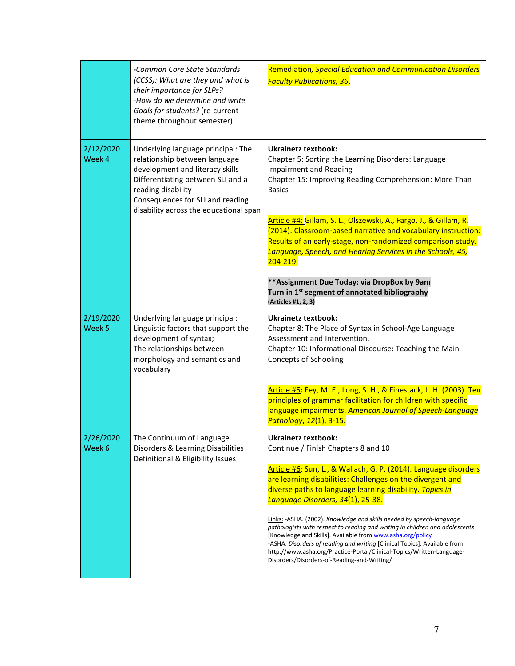|                     | -Common Core State Standards<br>(CCSS): What are they and what is<br>their importance for SLPs?<br>-How do we determine and write<br>Goals for students? (re-current<br>theme throughout semester)                                              | Remediation, Special Education and Communication Disorders<br><b>Faculty Publications, 36.</b>                                                                                                                                                                                                                                                                                                                                                                                                                       |
|---------------------|-------------------------------------------------------------------------------------------------------------------------------------------------------------------------------------------------------------------------------------------------|----------------------------------------------------------------------------------------------------------------------------------------------------------------------------------------------------------------------------------------------------------------------------------------------------------------------------------------------------------------------------------------------------------------------------------------------------------------------------------------------------------------------|
| 2/12/2020<br>Week 4 | Underlying language principal: The<br>relationship between language<br>development and literacy skills<br>Differentiating between SLI and a<br>reading disability<br>Consequences for SLI and reading<br>disability across the educational span | <b>Ukrainetz textbook:</b><br>Chapter 5: Sorting the Learning Disorders: Language<br>Impairment and Reading<br>Chapter 15: Improving Reading Comprehension: More Than<br><b>Basics</b><br>Article #4: Gillam, S. L., Olszewski, A., Fargo, J., & Gillam, R.<br>(2014). Classroom-based narrative and vocabulary instruction:<br>Results of an early-stage, non-randomized comparison study.<br>Language, Speech, and Hearing Services in the Schools, 45,<br>204-219.<br>** Assignment Due Today: via DropBox by 9am |
|                     |                                                                                                                                                                                                                                                 | Turn in 1 <sup>st</sup> segment of annotated bibliography<br>(Articles #1, 2, 3)                                                                                                                                                                                                                                                                                                                                                                                                                                     |
| 2/19/2020<br>Week 5 | Underlying language principal:<br>Linguistic factors that support the<br>development of syntax;<br>The relationships between<br>morphology and semantics and<br>vocabulary                                                                      | <b>Ukrainetz textbook:</b><br>Chapter 8: The Place of Syntax in School-Age Language<br>Assessment and Intervention.<br>Chapter 10: Informational Discourse: Teaching the Main<br><b>Concepts of Schooling</b>                                                                                                                                                                                                                                                                                                        |
|                     |                                                                                                                                                                                                                                                 | Article #5: Fey, M. E., Long, S. H., & Finestack, L. H. (2003). Ten<br>principles of grammar facilitation for children with specific<br>language impairments. American Journal of Speech-Language<br>Pathology, 12(1), 3-15.                                                                                                                                                                                                                                                                                         |
| 2/26/2020<br>Week 6 | The Continuum of Language<br>Disorders & Learning Disabilities                                                                                                                                                                                  | <b>Ukrainetz textbook:</b><br>Continue / Finish Chapters 8 and 10                                                                                                                                                                                                                                                                                                                                                                                                                                                    |
|                     | Definitional & Eligibility Issues                                                                                                                                                                                                               | Article #6: Sun, L., & Wallach, G. P. (2014). Language disorders<br>are learning disabilities: Challenges on the divergent and<br>diverse paths to language learning disability. Topics in<br>Language Disorders, 34(1), 25-38.                                                                                                                                                                                                                                                                                      |
|                     |                                                                                                                                                                                                                                                 | Links: - ASHA. (2002). Knowledge and skills needed by speech-language<br>pathologists with respect to reading and writing in children and adolescents<br>[Knowledge and Skills]. Available from www.asha.org/policy<br>-ASHA. Disorders of reading and writing [Clinical Topics]. Available from<br>http://www.asha.org/Practice-Portal/Clinical-Topics/Written-Language-<br>Disorders/Disorders-of-Reading-and-Writing/                                                                                             |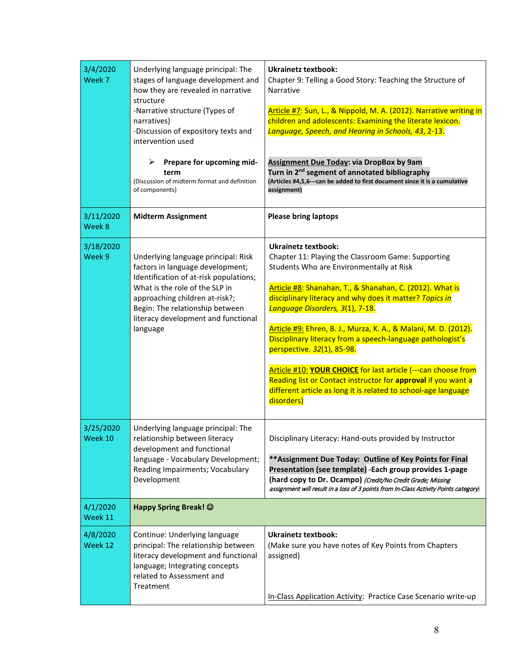| 3/4/2020<br>Week 7   | Underlying language principal: The<br>stages of language development and<br>how they are revealed in narrative<br>structure<br>-Narrative structure (Types of<br>narratives)<br>-Discussion of expository texts and<br>intervention used<br>Prepare for upcoming mid-<br>➤<br>term<br>(Discussion of midterm format and definition<br>of components) | <b>Ukrainetz textbook:</b><br>Chapter 9: Telling a Good Story: Teaching the Structure of<br>Narrative<br>Article #7: Sun, L., & Nippold, M. A. (2012). Narrative writing in<br>children and adolescents: Examining the literate lexicon.<br>Language, Speech, and Hearing in Schools, 43, 2-13.<br>Assignment Due Today: via DropBox by 9am<br>Turn in 2 <sup>nd</sup> segment of annotated bibliography<br>(Articles #4,5,6---can be added to first document since it is a cumulative<br>assignment)                                                                                                                                                                    |
|----------------------|------------------------------------------------------------------------------------------------------------------------------------------------------------------------------------------------------------------------------------------------------------------------------------------------------------------------------------------------------|--------------------------------------------------------------------------------------------------------------------------------------------------------------------------------------------------------------------------------------------------------------------------------------------------------------------------------------------------------------------------------------------------------------------------------------------------------------------------------------------------------------------------------------------------------------------------------------------------------------------------------------------------------------------------|
| 3/11/2020<br>Week 8  | <b>Midterm Assignment</b>                                                                                                                                                                                                                                                                                                                            | <b>Please bring laptops</b>                                                                                                                                                                                                                                                                                                                                                                                                                                                                                                                                                                                                                                              |
| 3/18/2020<br>Week 9  | Underlying language principal: Risk<br>factors in language development;<br>Identification of at-risk populations;<br>What is the role of the SLP in<br>approaching children at-risk?;<br>Begin: The relationship between<br>literacy development and functional<br>language                                                                          | <b>Ukrainetz textbook:</b><br>Chapter 11: Playing the Classroom Game: Supporting<br>Students Who are Environmentally at Risk<br>Article #8: Shanahan, T., & Shanahan, C. (2012). What is<br>disciplinary literacy and why does it matter? Topics in<br>Language Disorders, 3(1), 7-18.<br>Article #9: Ehren, B. J., Murza, K. A., & Malani, M. D. (2012).<br>Disciplinary literacy from a speech-language pathologist's<br>perspective. 32(1), 85-98.<br>Article #10: YOUR CHOICE for last article (--- can choose from<br>Reading list or Contact instructor for approval if you want a<br>different article as long it is related to school-age language<br>disorders) |
| 3/25/2020<br>Week 10 | Underlying language principal: The<br>relationship between literacy<br>development and functional<br>language - Vocabulary Development;<br>Reading Impairments; Vocabulary<br>Development                                                                                                                                                            | Disciplinary Literacy: Hand-outs provided by Instructor<br>** Assignment Due Today: Outline of Key Points for Final<br>Presentation (see template) - Each group provides 1-page<br>(hard copy to Dr. Ocampo) (Credit/No Credit Grade; Missing<br>assignment will result in a loss of 3 points from In-Class Activity Points category                                                                                                                                                                                                                                                                                                                                     |
| 4/1/2020<br>Week 11  | Happy Spring Break! ©                                                                                                                                                                                                                                                                                                                                |                                                                                                                                                                                                                                                                                                                                                                                                                                                                                                                                                                                                                                                                          |
| 4/8/2020<br>Week 12  | Continue: Underlying language<br>principal: The relationship between<br>literacy development and functional<br>language; Integrating concepts<br>related to Assessment and<br>Treatment                                                                                                                                                              | <b>Ukrainetz textbook:</b><br>(Make sure you have notes of Key Points from Chapters<br>assigned)<br>In-Class Application Activity: Practice Case Scenario write-up                                                                                                                                                                                                                                                                                                                                                                                                                                                                                                       |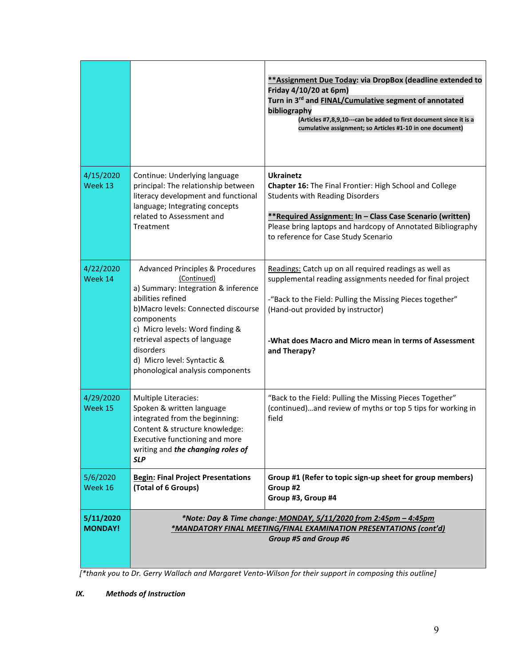|                             |                                                                                                                                                                                                                                                                                                                                 | ** Assignment Due Today: via DropBox (deadline extended to<br>Friday 4/10/20 at 6pm)<br>Turn in 3rd and FINAL/Cumulative segment of annotated<br>bibliography<br>(Articles #7,8,9,10---can be added to first document since it is a<br>cumulative assignment; so Articles #1-10 in one document) |  |
|-----------------------------|---------------------------------------------------------------------------------------------------------------------------------------------------------------------------------------------------------------------------------------------------------------------------------------------------------------------------------|--------------------------------------------------------------------------------------------------------------------------------------------------------------------------------------------------------------------------------------------------------------------------------------------------|--|
| 4/15/2020<br>Week 13        | Continue: Underlying language<br>principal: The relationship between<br>literacy development and functional<br>language; Integrating concepts<br>related to Assessment and<br>Treatment                                                                                                                                         | <b>Ukrainetz</b><br>Chapter 16: The Final Frontier: High School and College<br><b>Students with Reading Disorders</b><br><b>**Required Assignment: In - Class Case Scenario (written)</b><br>Please bring laptops and hardcopy of Annotated Bibliography<br>to reference for Case Study Scenario |  |
| 4/22/2020<br>Week 14        | <b>Advanced Principles &amp; Procedures</b><br>(Continued)<br>a) Summary: Integration & inference<br>abilities refined<br>b)Macro levels: Connected discourse<br>components<br>c) Micro levels: Word finding &<br>retrieval aspects of language<br>disorders<br>d) Micro level: Syntactic &<br>phonological analysis components | Readings: Catch up on all required readings as well as<br>supplemental reading assignments needed for final project<br>-"Back to the Field: Pulling the Missing Pieces together"<br>(Hand-out provided by instructor)<br>-What does Macro and Micro mean in terms of Assessment<br>and Therapy?  |  |
| 4/29/2020<br>Week 15        | Multiple Literacies:<br>Spoken & written language<br>integrated from the beginning:<br>Content & structure knowledge:<br>Executive functioning and more<br>writing and the changing roles of<br><b>SLP</b>                                                                                                                      | "Back to the Field: Pulling the Missing Pieces Together"<br>(continued)and review of myths or top 5 tips for working in<br>field                                                                                                                                                                 |  |
| 5/6/2020<br>Week 16         | <b>Begin: Final Project Presentations</b><br>(Total of 6 Groups)                                                                                                                                                                                                                                                                | Group #1 (Refer to topic sign-up sheet for group members)<br>Group #2<br>Group #3, Group #4                                                                                                                                                                                                      |  |
| 5/11/2020<br><b>MONDAY!</b> | *Note: Day & Time change: MONDAY, 5/11/2020 from 2:45pm - 4:45pm<br>*MANDATORY FINAL MEETING/FINAL EXAMINATION PRESENTATIONS (cont'd)<br>Group #5 and Group #6                                                                                                                                                                  |                                                                                                                                                                                                                                                                                                  |  |

 *[\*thank you to Dr. Gerry Wallach and Margaret Vento-Wilson for their support in composing this outline]* 

# *IX. Methods of Instruction*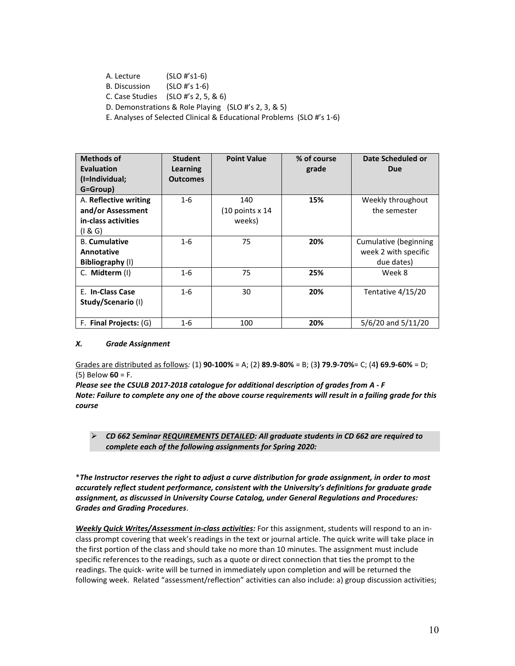- A. Lecture (SLO #'s1-6)
- B. Discussion (SLO #'s 1-6)
- C. Case Studies (SLO #'s 2, 5, & 6)
- D. Demonstrations & Role Playing (SLO #'s 2, 3, & 5)
- E. Analyses of Selected Clinical & Educational Problems (SLO #'s 1-6)

| <b>Methods of</b>      | <b>Student</b>  | <b>Point Value</b>  | % of course | Date Scheduled or     |
|------------------------|-----------------|---------------------|-------------|-----------------------|
| <b>Evaluation</b>      | Learning        |                     | grade       | Due                   |
| (I=Individual;         | <b>Outcomes</b> |                     |             |                       |
| G=Group)               |                 |                     |             |                       |
| A. Reflective writing  | $1 - 6$         | 140                 | 15%         | Weekly throughout     |
| and/or Assessment      |                 | $(10$ points x $14$ |             | the semester          |
| in-class activities    |                 | weeks)              |             |                       |
| (1 & G)                |                 |                     |             |                       |
| <b>B.</b> Cumulative   | $1 - 6$         | 75                  | 20%         | Cumulative (beginning |
| Annotative             |                 |                     |             | week 2 with specific  |
| Bibliography (I)       |                 |                     |             | due dates)            |
| C. Midterm (I)         | $1-6$           | 75                  | 25%         | Week 8                |
|                        |                 |                     |             |                       |
| E. In-Class Case       | $1 - 6$         | 30                  | 20%         | Tentative 4/15/20     |
| Study/Scenario (I)     |                 |                     |             |                       |
|                        |                 |                     |             |                       |
| F. Final Projects: (G) | $1-6$           | 100                 | 20%         | 5/6/20 and 5/11/20    |

### *X. Grade Assignment*

Grades are distributed as follows*:* (1) **90-100%** = A; (2) **89.9-80%** = B; (3**) 79.9-70%**= C; (4**) 69.9-60%** = D; (5) Below **60** = F.

*Please see the CSULB 2017-2018 catalogue for additional description of grades from A - F*  Note: Failure to complete any one of the above course requirements will result in a failing grade for this *course*

 *CD 662 Seminar REQUIREMENTS DETAILED: All graduate students in CD 662 are required to complete each of the following assignments for Spring 2020:* 

\**The Instructor reserves the right to adjust a curve distribution for grade assignment, in order to most accurately reflect student performance, consistent with the University's definitions for graduate grade assignment, as discussed in University Course Catalog, under General Regulations and Procedures: Grades and Grading Procedures*.

*Weekly Quick Writes/Assessment in-class activities:* For this assignment, students will respond to an inclass prompt covering that week's readings in the text or journal article. The quick write will take place in the first portion of the class and should take no more than 10 minutes. The assignment must include specific references to the readings, such as a quote or direct connection that ties the prompt to the readings. The quick- write will be turned in immediately upon completion and will be returned the following week. Related "assessment/reflection" activities can also include: a) group discussion activities;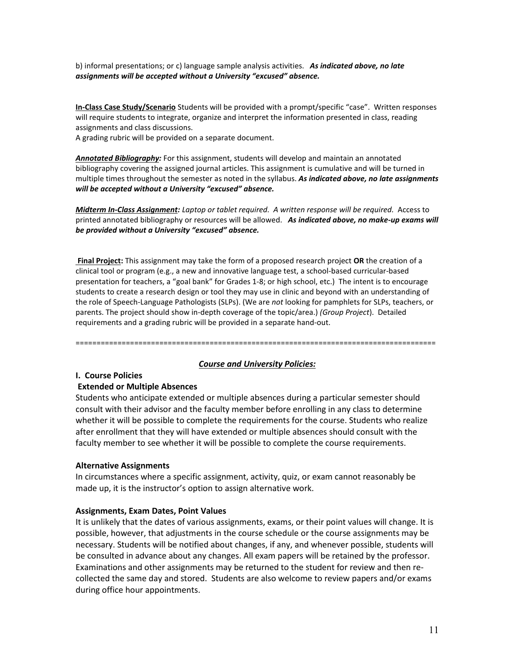b) informal presentations; or c) language sample analysis activities. *As indicated above, no late assignments will be accepted without a University "excused" absence.* 

**In-Class Case Study/Scenario** Students will be provided with a prompt/specific "case". Written responses will require students to integrate, organize and interpret the information presented in class, reading assignments and class discussions.

A grading rubric will be provided on a separate document.

*Annotated Bibliography:* For this assignment, students will develop and maintain an annotated bibliography covering the assigned journal articles. This assignment is cumulative and will be turned in multiple times throughout the semester as noted in the syllabus. *As indicated above, no late assignments will be accepted without a University "excused" absence.* 

*Midterm In-Class Assignment: Laptop or tablet required. A written response will be required.* Access to printed annotated bibliography or resources will be allowed. *As indicated above, no make-up exams will be provided without a University "excused" absence.* 

**Final Project:** This assignment may take the form of a proposed research project **OR** the creation of a clinical tool or program (e.g., a new and innovative language test, a school-based curricular-based presentation for teachers, a "goal bank" for Grades 1-8; or high school, etc.) The intent is to encourage students to create a research design or tool they may use in clinic and beyond with an understanding of the role of Speech-Language Pathologists (SLPs). (We are *not* looking for pamphlets for SLPs, teachers, or parents. The project should show in-depth coverage of the topic/area.) *(Group Project*). Detailed requirements and a grading rubric will be provided in a separate hand-out.

======================================================================================

### *Course and University Policies:*

## **I. Course Policies**

## **Extended or Multiple Absences**

Students who anticipate extended or multiple absences during a particular semester should consult with their advisor and the faculty member before enrolling in any class to determine whether it will be possible to complete the requirements for the course. Students who realize after enrollment that they will have extended or multiple absences should consult with the faculty member to see whether it will be possible to complete the course requirements.

### **Alternative Assignments**

In circumstances where a specific assignment, activity, quiz, or exam cannot reasonably be made up, it is the instructor's option to assign alternative work.

### **Assignments, Exam Dates, Point Values**

It is unlikely that the dates of various assignments, exams, or their point values will change. It is possible, however, that adjustments in the course schedule or the course assignments may be necessary. Students will be notified about changes, if any, and whenever possible, students will be consulted in advance about any changes. All exam papers will be retained by the professor. Examinations and other assignments may be returned to the student for review and then recollected the same day and stored. Students are also welcome to review papers and/or exams during office hour appointments.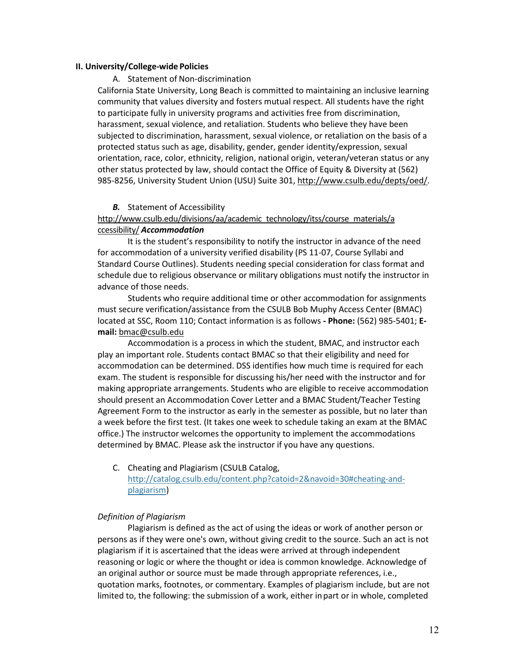#### **II. University/College-wide Policies**

A. Statement of Non-discrimination

California State University, Long Beach is committed to maintaining an inclusive learning community that values diversity and fosters mutual respect. All students have the right to participate fully in university programs and activities free from discrimination, harassment, sexual violence, and retaliation. Students who believe they have been subjected to discrimination, harassment, sexual violence, or retaliation on the basis of a protected status such as age, disability, gender, gender identity/expression, sexual orientation, race, color, ethnicity, religion, national origin, veteran/veteran status or any other status protected by law, should contact the Office of Equity & Diversity at (562) 985-8256, University Student Union (USU) Suite 301, [http://www.csulb.edu/depts/oed/.](http://www.csulb.edu/depts/oed/)

#### **B.** Statement of Accessibilit[y](http://www.csulb.edu/divisions/aa/academic_technology/itss/course_materials/accessibility/)

# [http://www.csulb.edu/divisions/aa/academic\\_technology/itss/course\\_materials/a](http://www.csulb.edu/divisions/aa/academic_technology/itss/course_materials/accessibility/) [ccessibility/](http://www.csulb.edu/divisions/aa/academic_technology/itss/course_materials/accessibility/) *Accommodation*

It is the student's responsibility to notify the instructor in advance of the need for accommodation of a university verified disability (PS 11-07, Course Syllabi and Standard Course Outlines). Students needing special consideration for class format and schedule due to religious observance or military obligations must notify the instructor in advance of those needs.

Students who require additional time or other accommodation for assignments must secure verification/assistance from the CSULB Bob Muphy Access Center (BMAC) located at SSC, Room 110; Contact information is as follows **- Phone:** (562) 985-5401; **Email:** [bmac@csulb.edu](mailto:dss@csulb.edu)

Accommodation is a process in which the student, BMAC, and instructor each play an important role. Students contact BMAC so that their eligibility and need for accommodation can be determined. DSS identifies how much time is required for each exam. The student is responsible for discussing his/her need with the instructor and for making appropriate arrangements. Students who are eligible to receive accommodation should present an Accommodation Cover Letter and a BMAC Student/Teacher Testing Agreement Form to the instructor as early in the semester as possible, but no later than a week before the first test. (It takes one week to schedule taking an exam at the BMAC office.) The instructor welcomes the opportunity to implement the accommodations determined by BMAC. Please ask the instructor if you have any questions.

C. Cheating and Plagiarism (CSULB Catalog, [http://catalog.csulb.edu/content.php?catoid=2&navoid=30#cheating-and](http://catalog.csulb.edu/content.php?catoid=2&navoid=30&cheating-and-plagiarism)[plagiarism\)](http://catalog.csulb.edu/content.php?catoid=2&navoid=30&cheating-and-plagiarism)

### *Definition of Plagiarism*

Plagiarism is defined as the act of using the ideas or work of another person or persons as if they were one's own, without giving credit to the source. Such an act is not plagiarism if it is ascertained that the ideas were arrived at through independent reasoning or logic or where the thought or idea is common knowledge. Acknowledge of an original author or source must be made through appropriate references, i.e., quotation marks, footnotes, or commentary. Examples of plagiarism include, but are not limited to, the following: the submission of a work, either inpart or in whole, completed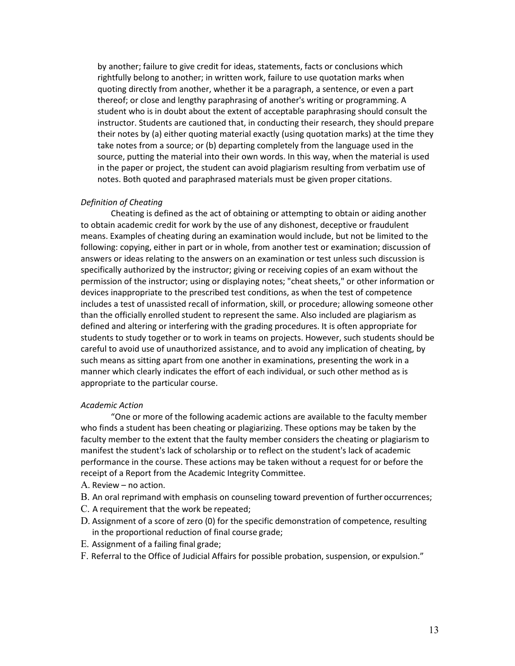by another; failure to give credit for ideas, statements, facts or conclusions which rightfully belong to another; in written work, failure to use quotation marks when quoting directly from another, whether it be a paragraph, a sentence, or even a part thereof; or close and lengthy paraphrasing of another's writing or programming. A student who is in doubt about the extent of acceptable paraphrasing should consult the instructor. Students are cautioned that, in conducting their research, they should prepare their notes by (a) either quoting material exactly (using quotation marks) at the time they take notes from a source; or (b) departing completely from the language used in the source, putting the material into their own words. In this way, when the material is used in the paper or project, the student can avoid plagiarism resulting from verbatim use of notes. Both quoted and paraphrased materials must be given proper citations.

### *Definition of Cheating*

Cheating is defined as the act of obtaining or attempting to obtain or aiding another to obtain academic credit for work by the use of any dishonest, deceptive or fraudulent means. Examples of cheating during an examination would include, but not be limited to the following: copying, either in part or in whole, from another test or examination; discussion of answers or ideas relating to the answers on an examination or test unless such discussion is specifically authorized by the instructor; giving or receiving copies of an exam without the permission of the instructor; using or displaying notes; "cheat sheets," or other information or devices inappropriate to the prescribed test conditions, as when the test of competence includes a test of unassisted recall of information, skill, or procedure; allowing someone other than the officially enrolled student to represent the same. Also included are plagiarism as defined and altering or interfering with the grading procedures. It is often appropriate for students to study together or to work in teams on projects. However, such students should be careful to avoid use of unauthorized assistance, and to avoid any implication of cheating, by such means as sitting apart from one another in examinations, presenting the work in a manner which clearly indicates the effort of each individual, or such other method as is appropriate to the particular course.

### *Academic Action*

"One or more of the following academic actions are available to the faculty member who finds a student has been cheating or plagiarizing. These options may be taken by the faculty member to the extent that the faulty member considers the cheating or plagiarism to manifest the student's lack of scholarship or to reflect on the student's lack of academic performance in the course. These actions may be taken without a request for or before the receipt of a Report from the Academic Integrity Committee.

- A. Review no action.
- B. An oral reprimand with emphasis on counseling toward prevention of furtheroccurrences;
- C. A requirement that the work be repeated;
- D. Assignment of a score of zero (0) for the specific demonstration of competence, resulting in the proportional reduction of final course grade;
- E. Assignment of a failing final grade;
- F. Referral to the Office of Judicial Affairs for possible probation, suspension, or expulsion."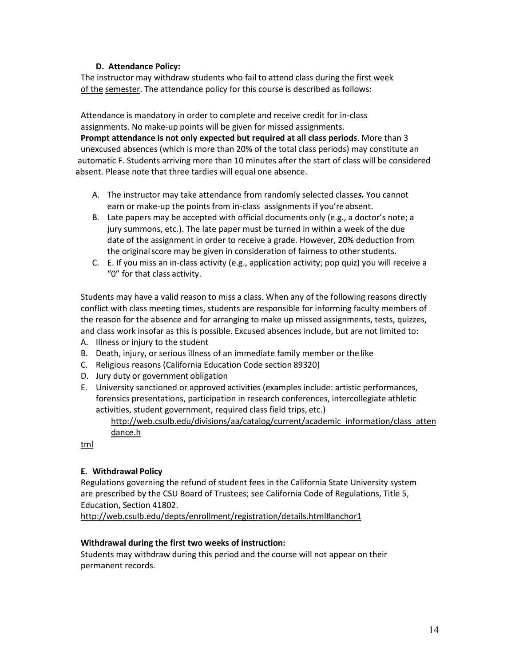# **D. Attendance Policy:**

The instructor may withdraw students who fail to attend class during the first week of the semester. The attendance policy for this course is described as follows:

Attendance is mandatory in order to complete and receive credit for in-class assignments. No make-up points will be given for missed assignments. **Prompt attendance is not only expected but required at all class periods**. More than 3 unexcused absences (which is more than 20% of the total class periods) may constitute an automatic F. Students arriving more than 10 minutes after the start of class will be considered absent. Please note that three tardies will equal one absence.

- A. The instructor may take attendance from randomly selected classe*s.* You cannot earn or make-up the points from in-class assignments if you're absent.
- B. Late papers may be accepted with official documents only (e.g., a doctor's note; a jury summons, etc.). The late paper must be turned in within a week of the due date of the assignment in order to receive a grade. However, 20% deduction from the original score may be given in consideration of fairness to other students.
- C. E. If you miss an in-class activity (e.g., application activity; pop quiz) you will receive a "0" for that class activity.

Students may have a valid reason to miss a class. When any of the following reasons directly conflict with class meeting times, students are responsible for informing faculty members of the reason for the absence and for arranging to make up missed assignments, tests, quizzes, and class work insofar as this is possible. Excused absences include, but are not limited to:

- A. Illness or injury to the student
- B. Death, injury, or serious illness of an immediate family member or the like
- C. Religious reasons (California Education Code section 89320)
- D. Jury duty or government obligation
- E. University sanctioned or approved activities (examples include: artistic performances, forensics presentations, participation in research conferences, intercollegiate athletic activities, student government, required class field trips, etc.)

[http://web.csulb.edu/divisions/aa/catalog/current/academic\\_information/class\\_atten](http://web.csulb.edu/divisions/aa/catalog/current/academic_information/class_attendance.html) [dance.h](http://web.csulb.edu/divisions/aa/catalog/current/academic_information/class_attendance.html)

[tml](http://web.csulb.edu/divisions/aa/catalog/current/academic_information/class_attendance.html)

# **E. Withdrawal Policy**

Regulations governing the refund of student fees in the California State University system are prescribed by the CSU Board of Trustees; see California Code of Regulations, Title 5, Education, Section 41802.

<http://web.csulb.edu/depts/enrollment/registration/details.html#anchor1>

## **Withdrawal during the first two weeks of instruction:**

Students may withdraw during this period and the course will not appear on their permanent records.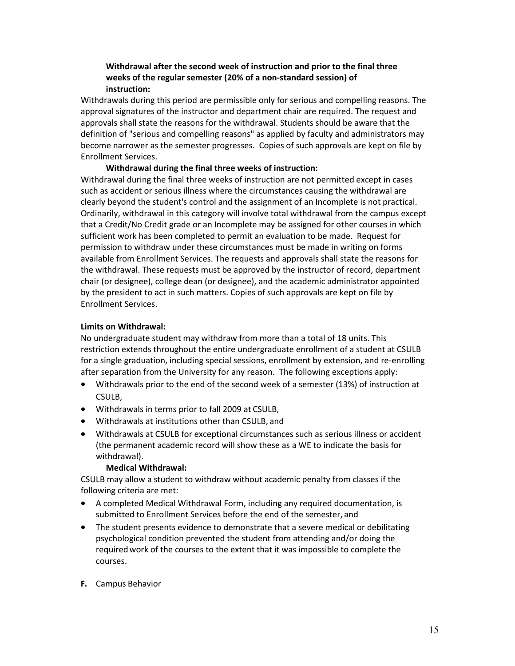# **Withdrawal after the second week of instruction and prior to the final three weeks of the regular semester (20% of a non-standard session) of instruction:**

Withdrawals during this period are permissible only for serious and compelling reasons. The approval signatures of the instructor and department chair are required. The request and approvals shall state the reasons for the withdrawal. Students should be aware that the definition of "serious and compelling reasons" as applied by faculty and administrators may become narrower as the semester progresses. Copies of such approvals are kept on file by Enrollment Services.

## **Withdrawal during the final three weeks of instruction:**

Withdrawal during the final three weeks of instruction are not permitted except in cases such as accident or serious illness where the circumstances causing the withdrawal are clearly beyond the student's control and the assignment of an Incomplete is not practical. Ordinarily, withdrawal in this category will involve total withdrawal from the campus except that a Credit/No Credit grade or an Incomplete may be assigned for other courses in which sufficient work has been completed to permit an evaluation to be made. Request for permission to withdraw under these circumstances must be made in writing on forms available from Enrollment Services. The requests and approvals shall state the reasons for the withdrawal. These requests must be approved by the instructor of record, department chair (or designee), college dean (or designee), and the academic administrator appointed by the president to act in such matters. Copies of such approvals are kept on file by Enrollment Services.

# **Limits on Withdrawal:**

No undergraduate student may withdraw from more than a total of 18 units. This restriction extends throughout the entire undergraduate enrollment of a student at CSULB for a single graduation, including special sessions, enrollment by extension, and re-enrolling after separation from the University for any reason. The following exceptions apply:

- Withdrawals prior to the end of the second week of a semester (13%) of instruction at CSULB,
- Withdrawals in terms prior to fall 2009 at CSULB,
- Withdrawals at institutions other than CSULB, and
- Withdrawals at CSULB for exceptional circumstances such as serious illness or accident (the permanent academic record will show these as a WE to indicate the basis for withdrawal).

## **Medical Withdrawal:**

CSULB may allow a student to withdraw without academic penalty from classes if the following criteria are met:

- A completed Medical Withdrawal Form, including any required documentation, is submitted to Enrollment Services before the end of the semester, and
- The student presents evidence to demonstrate that a severe medical or debilitating psychological condition prevented the student from attending and/or doing the requiredwork of the courses to the extent that it was impossible to complete the courses.
- **F.** Campus Behavior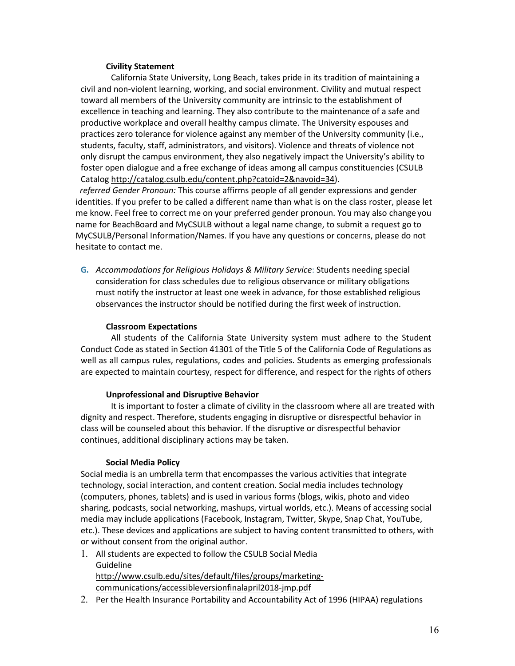## **Civility Statement**

California State University, Long Beach, takes pride in its tradition of maintaining a civil and non-violent learning, working, and social environment. Civility and mutual respect toward all members of the University community are intrinsic to the establishment of excellence in teaching and learning. They also contribute to the maintenance of a safe and productive workplace and overall healthy campus climate. The University espouses and practices zero tolerance for violence against any member of the University community (i.e., students, faculty, staff, administrators, and visitors). Violence and threats of violence not only disrupt the campus environment, they also negatively impact the University's ability to foster open dialogue and a free exchange of ideas among all campus constituencies (CSULB Catalog [http://catalog.csulb.edu/content.php?catoid=2&navoid=34\)](http://catalog.csulb.edu/content.php?catoid=2&navoid=34).

 *referred Gender Pronoun:* This course affirms people of all gender expressions and gender identities. If you prefer to be called a different name than what is on the class roster, please let me know. Feel free to correct me on your preferred gender pronoun. You may also change you name for BeachBoard and MyCSULB without a legal name change, to submit a request go to MyCSULB/Personal Information/Names. If you have any questions or concerns, please do not hesitate to contact me.

**G.** *Accommodations for Religious Holidays & Military Service*: Students needing special consideration for class schedules due to religious observance or military obligations must notify the instructor at least one week in advance, for those established religious observances the instructor should be notified during the first week of instruction.

## **Classroom Expectations**

All students of the California State University system must adhere to the Student Conduct Code as stated in Section 41301 of the Title 5 of the California Code of Regulations as well as all campus rules, regulations, codes and policies. Students as emerging professionals are expected to maintain courtesy, respect for difference, and respect for the rights of others

## **Unprofessional and Disruptive Behavior**

It is important to foster a climate of civility in the classroom where all are treated with dignity and respect. Therefore, students engaging in disruptive or disrespectful behavior in class will be counseled about this behavior. If the disruptive or disrespectful behavior continues, additional disciplinary actions may be taken.

## **Social Media Policy**

Social media is an umbrella term that encompasses the various activities that integrate technology, social interaction, and content creation. Social media includes technology (computers, phones, tablets) and is used in various forms (blogs, wikis, photo and video sharing, podcasts, social networking, mashups, virtual worlds, etc.). Means of accessing social media may include applications (Facebook, Instagram, Twitter, Skype, Snap Chat, YouTube, etc.). These devices and applications are subject to having content transmitted to others, with or without consent from the original author.

- 1. All students are expected to follow the CSULB Social Media Guidelin[e](http://www.csulb.edu/sites/default/files/groups/marketing-communications/accessibleversionfinalapril2018-jmp.pdf) [http://www.csulb.edu/sites/default/files/groups/marketing](http://www.csulb.edu/sites/default/files/groups/marketing-communications/accessibleversionfinalapril2018-jmp.pdf)[communications/accessibleversionfinalapril2018-jmp.pdf](http://www.csulb.edu/sites/default/files/groups/marketing-communications/accessibleversionfinalapril2018-jmp.pdf)
- 2. Per the Health Insurance Portability and Accountability Act of 1996 (HIPAA) regulations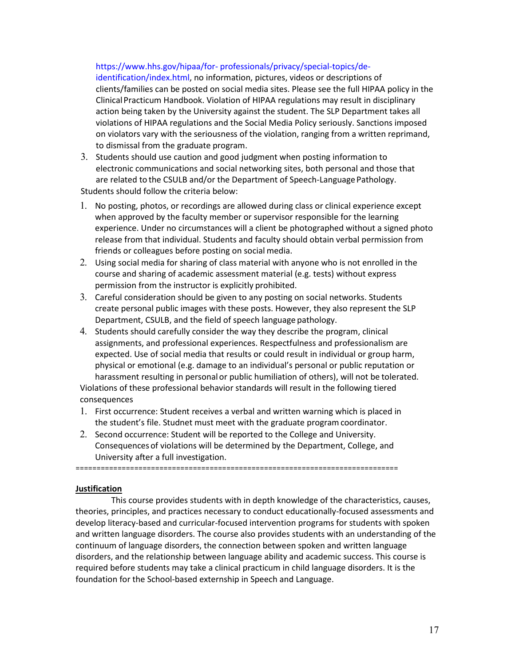https:/[/www.hhs.gov/hipaa/for-](http://www.hhs.gov/hipaa/for-) professionals/privacy/special-topics/de-

identification/index.html, no information, pictures, videos or descriptions of clients/families can be posted on social media sites. Please see the full HIPAA policy in the ClinicalPracticum Handbook. Violation of HIPAA regulations may result in disciplinary action being taken by the University against the student. The SLP Department takes all violations of HIPAA regulations and the Social Media Policy seriously. Sanctions imposed on violators vary with the seriousness of the violation, ranging from a written reprimand, to dismissal from the graduate program.

- 3. Students should use caution and good judgment when posting information to electronic communications and social networking sites, both personal and those that are related to the CSULB and/or the Department of Speech-Language Pathology. Students should follow the criteria below:
- 1. No posting, photos, or recordings are allowed during class or clinical experience except when approved by the faculty member or supervisor responsible for the learning experience. Under no circumstances will a client be photographed without a signed photo release from that individual. Students and faculty should obtain verbal permission from friends or colleagues before posting on social media.
- 2. Using social media for sharing of class material with anyone who is not enrolled in the course and sharing of academic assessment material (e.g. tests) without express permission from the instructor is explicitly prohibited.
- 3. Careful consideration should be given to any posting on social networks. Students create personal public images with these posts. However, they also represent the SLP Department, CSULB, and the field of speech language pathology.
- 4. Students should carefully consider the way they describe the program, clinical assignments, and professional experiences. Respectfulness and professionalism are expected. Use of social media that results or could result in individual or group harm, physical or emotional (e.g. damage to an individual's personal or public reputation or harassment resulting in personalor public humiliation of others), will not be tolerated.

Violations of these professional behavior standards will result in the following tiered consequences

- 1. First occurrence: Student receives a verbal and written warning which is placed in the student's file. Studnet must meet with the graduate programcoordinator.
- 2. Second occurrence: Student will be reported to the College and University. Consequencesof violations will be determined by the Department, College, and University after a full investigation.

=============================================================================

## **Justification**

 This course provides students with in depth knowledge of the characteristics, causes, theories, principles, and practices necessary to conduct educationally-focused assessments and develop literacy-based and curricular-focused intervention programs for students with spoken and written language disorders. The course also provides students with an understanding of the continuum of language disorders, the connection between spoken and written language disorders, and the relationship between language ability and academic success. This course is required before students may take a clinical practicum in child language disorders. It is the foundation for the School-based externship in Speech and Language.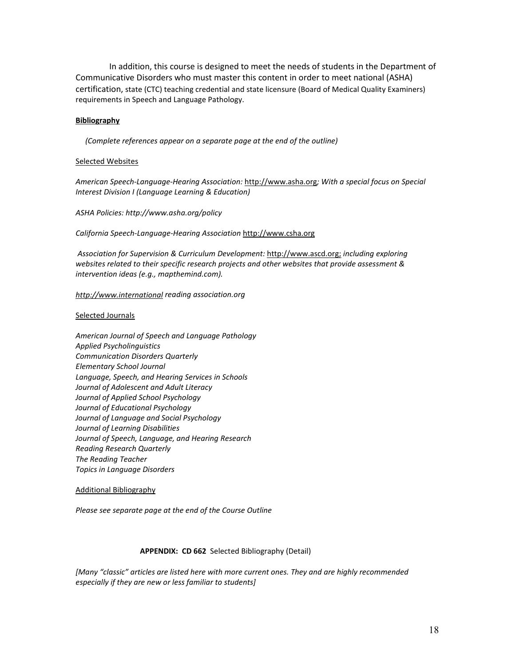In addition, this course is designed to meet the needs of students in the Department of Communicative Disorders who must master this content in order to meet national (ASHA) certification, state (CTC) teaching credential and state licensure (Board of Medical Quality Examiners) requirements in Speech and Language Pathology.

#### **Bibliography**

*(Complete references appear on a separate page at the end of the outline)* 

#### Selected Websites

*American Speech-Language-Hearing Association:* [http://www.asha.org](http://www.asha.org/)*; With a special focus on Special Interest Division I (Language Learning & Education)*

*ASHA Policies: http://www.asha.org/policy*

*California Speech-Language-Hearing Association* [http://www.csha.org](http://www.csha.org/)

*Association for Supervision & Curriculum Development:* http://www.ascd.org; *including exploring websites related to their specific research projects and other websites that provide assessment & intervention ideas (e.g., mapthemind.com).*

*[http://www.international](http://www.international/) reading association.org*

#### Selected Journals

*American Journal of Speech and Language Pathology Applied Psycholinguistics Communication Disorders Quarterly Elementary School Journal Language, Speech, and Hearing Services in Schools Journal of Adolescent and Adult Literacy Journal of Applied School Psychology Journal of Educational Psychology Journal of Language and Social Psychology Journal of Learning Disabilities Journal of Speech, Language, and Hearing Research Reading Research Quarterly The Reading Teacher Topics in Language Disorders*

#### Additional Bibliography

*Please see separate page at the end of the Course Outline*

#### **APPENDIX: CD 662** Selected Bibliography (Detail)

*[Many "classic" articles are listed here with more current ones. They and are highly recommended especially if they are new or less familiar to students]*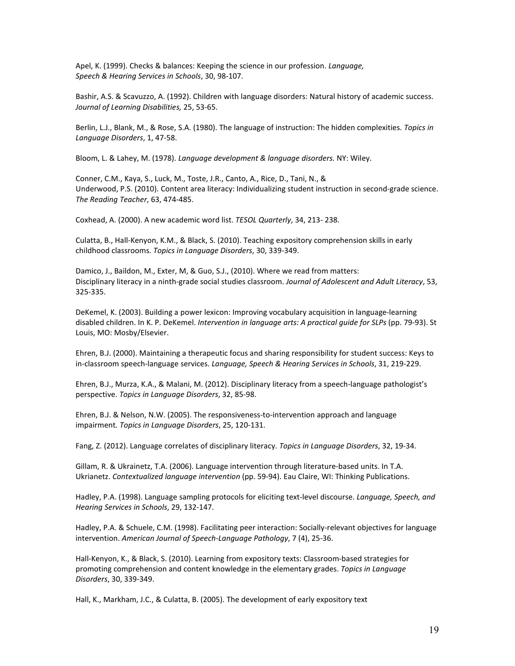Apel, K. (1999). Checks & balances: Keeping the science in our profession. *Language, Speech & Hearing Services in Schools*, 30, 98-107.

Bashir, A.S. & Scavuzzo, A. (1992). Children with language disorders: Natural history of academic success. *Journal of Learning Disabilities,* 25, 53-65.

Berlin, L.J., Blank, M., & Rose, S.A. (1980). The language of instruction: The hidden complexities. *Topics in Language Disorders*, 1, 47-58.

Bloom, L. & Lahey, M. (1978). *Language development & language disorders.* NY: Wiley.

Conner, C.M., Kaya, S., Luck, M., Toste, J.R., Canto, A., Rice, D., Tani, N., & Underwood, P.S. (2010). Content area literacy: Individualizing student instruction in second-grade science. *The Reading Teacher*, 63, 474-485.

Coxhead, A. (2000). A new academic word list. *TESOL Quarterly*, 34, 213- 238.

Culatta, B., Hall-Kenyon, K.M., & Black, S. (2010). Teaching expository comprehension skills in early childhood classrooms. *Topics in Language Disorders*, 30, 339-349.

Damico, J., Baildon, M., Exter, M, & Guo, S.J., (2010). Where we read from matters: Disciplinary literacy in a ninth-grade social studies classroom. *Journal of Adolescent and Adult Literacy*, 53, 325-335.

DeKemel, K. (2003). Building a power lexicon: Improving vocabulary acquisition in language-learning disabled children. In K. P. DeKemel. *Intervention in language arts: A practical guide for SLPs* (pp. 79-93). St Louis, MO: Mosby/Elsevier.

Ehren, B.J. (2000). Maintaining a therapeutic focus and sharing responsibility for student success: Keys to in-classroom speech-language services. *Language, Speech & Hearing Services in Schools*, 31, 219-229.

Ehren, B.J., Murza, K.A., & Malani, M. (2012). Disciplinary literacy from a speech-language pathologist's perspective. *Topics in Language Disorders*, 32, 85-98.

Ehren, B.J. & Nelson, N.W. (2005). The responsiveness-to-intervention approach and language impairment*. Topics in Language Disorders*, 25, 120-131.

Fang, Z. (2012). Language correlates of disciplinary literacy. *Topics in Language Disorders*, 32, 19-34.

Gillam, R. & Ukrainetz, T.A. (2006). Language intervention through literature-based units. In T.A. Ukrianetz. *Contextualized language intervention* (pp. 59-94). Eau Claire, WI: Thinking Publications.

Hadley, P.A. (1998). Language sampling protocols for eliciting text-level discourse. *Language, Speech, and Hearing Services in Schools*, 29, 132-147.

Hadley, P.A. & Schuele, C.M. (1998). Facilitating peer interaction: Socially-relevant objectives for language intervention. *American Journal of Speech-Language Pathology*, 7 (4), 25-36.

Hall-Kenyon, K., & Black, S. (2010). Learning from expository texts: Classroom-based strategies for promoting comprehension and content knowledge in the elementary grades. *Topics in Language Disorders*, 30, 339-349.

Hall, K., Markham, J.C., & Culatta, B. (2005). The development of early expository text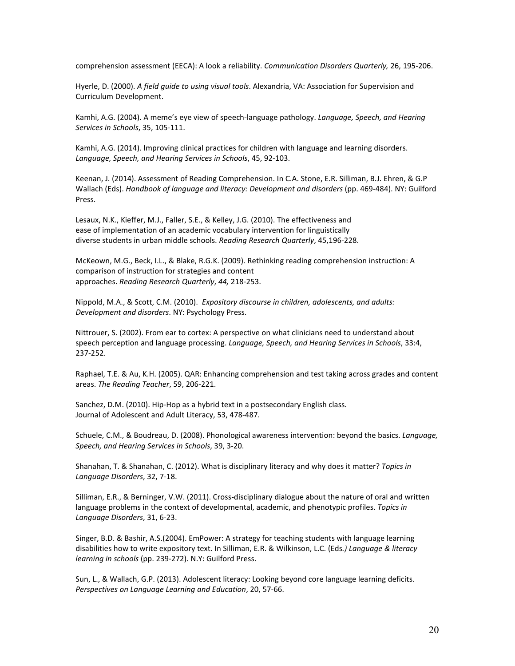comprehension assessment (EECA): A look a reliability. *Communication Disorders Quarterly,* 26, 195-206.

Hyerle, D. (2000). *A field guide to using visual tools*. Alexandria, VA: Association for Supervision and Curriculum Development.

Kamhi, A.G. (2004). A meme's eye view of speech-language pathology. *Language, Speech, and Hearing Services in Schools*, 35, 105-111.

Kamhi, A.G. (2014). Improving clinical practices for children with language and learning disorders. *Language, Speech, and Hearing Services in Schools*, 45, 92-103.

Keenan, J. (2014). Assessment of Reading Comprehension. In C.A. Stone, E.R. Silliman, B.J. Ehren, & G.P Wallach (Eds). *Handbook of language and literacy: Development and disorders* (pp. 469-484). NY: Guilford Press.

Lesaux, N.K., Kieffer, M.J., Faller, S.E., & Kelley, J.G. (2010). The effectiveness and ease of implementation of an academic vocabulary intervention for linguistically diverse students in urban middle schools. *Reading Research Quarterly*, 45,196-228.

McKeown, M.G., Beck, I.L., & Blake, R.G.K. (2009). Rethinking reading comprehension instruction: A comparison of instruction for strategies and content approaches. *Reading Research Quarterly*, *44,* 218-253.

Nippold, M.A., & Scott, C.M. (2010). *Expository discourse in children, adolescents, and adults: Development and disorders*. NY: Psychology Press.

Nittrouer, S. (2002). From ear to cortex: A perspective on what clinicians need to understand about speech perception and language processing. *Language, Speech, and Hearing Services in Schools*, 33:4, 237-252.

Raphael, T.E. & Au, K.H. (2005). QAR: Enhancing comprehension and test taking across grades and content areas. *The Reading Teacher*, 59, 206-221.

Sanchez, D.M. (2010). Hip-Hop as a hybrid text in a postsecondary English class. Journal of Adolescent and Adult Literacy, 53, 478-487.

Schuele, C.M., & Boudreau, D. (2008). Phonological awareness intervention: beyond the basics. *Language, Speech, and Hearing Services in Schools*, 39, 3-20.

Shanahan, T. & Shanahan, C. (2012). What is disciplinary literacy and why does it matter? *Topics in Language Disorders*, 32, 7-18.

Silliman, E.R., & Berninger, V.W. (2011). Cross-disciplinary dialogue about the nature of oral and written language problems in the context of developmental, academic, and phenotypic profiles. *Topics in Language Disorders*, 31, 6-23.

Singer, B.D. & Bashir, A.S.(2004). EmPower: A strategy for teaching students with language learning disabilities how to write expository text. In Silliman, E.R. & Wilkinson, L.C. (Eds*.) Language & literacy learning in schools* (pp. 239-272). N.Y: Guilford Press.

Sun, L., & Wallach, G.P. (2013). Adolescent literacy: Looking beyond core language learning deficits. *Perspectives on Language Learning and Education*, 20, 57-66.